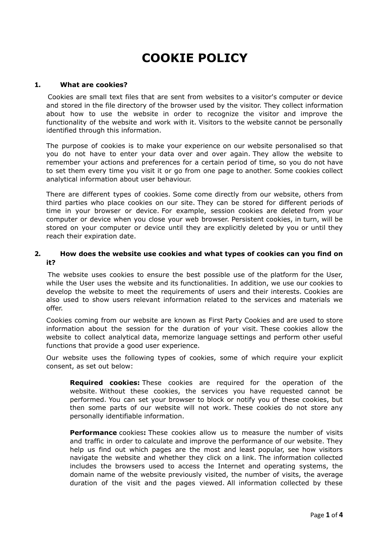# **COOKIE POLICY**

#### **1. What are cookies?**

Cookies are small text files that are sent from websites to a visitor's computer or device and stored in the file directory of the browser used by the visitor. They collect information about how to use the website in order to recognize the visitor and improve the functionality of the website and work with it. Visitors to the website cannot be personally identified through this information.

The purpose of cookies is to make your experience on our website personalised so that you do not have to enter your data over and over again. They allow the website to remember your actions and preferences for a certain period of time, so you do not have to set them every time you visit it or go from one page to another. Some cookies collect analytical information about user behaviour.

There are different types of cookies. Some come directly from our website, others from third parties who place cookies on our site. They can be stored for different periods of time in your browser or device. For example, session cookies are deleted from your computer or device when you close your web browser. Persistent cookies, in turn, will be stored on your computer or device until they are explicitly deleted by you or until they reach their expiration date.

## **2. How does the website use cookies and what types of cookies can you find on it?**

The website uses cookies to ensure the best possible use of the platform for the User, while the User uses the website and its functionalities. In addition, we use our cookies to develop the website to meet the requirements of users and their interests. Cookies are also used to show users relevant information related to the services and materials we offer.

Cookies coming from our website are known as First Party Cookies and are used to store information about the session for the duration of your visit. These cookies allow the website to collect analytical data, memorize language settings and perform other useful functions that provide a good user experience.

Our website uses the following types of cookies, some of which require your explicit consent, as set out below:

**Required cookies:** These cookies are required for the operation of the website. Without these cookies, the services you have requested cannot be performed. You can set your browser to block or notify you of these cookies, but then some parts of our website will not work. These cookies do not store any personally identifiable information.

**Performance** cookies**:** These cookies allow us to measure the number of visits and traffic in order to calculate and improve the performance of our website. They help us find out which pages are the most and least popular, see how visitors navigate the website and whether they click on a link. The information collected includes the browsers used to access the Internet and operating systems, the domain name of the website previously visited, the number of visits, the average duration of the visit and the pages viewed. All information collected by these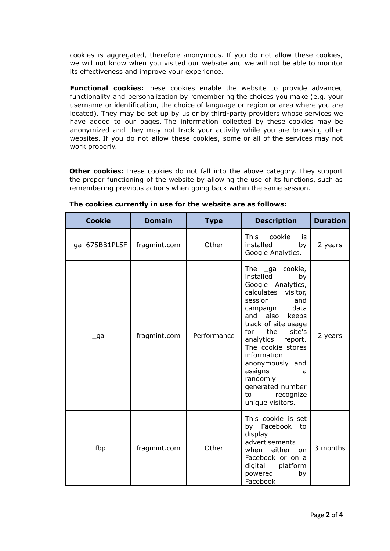cookies is aggregated, therefore anonymous. If you do not allow these cookies, we will not know when you visited our website and we will not be able to monitor its effectiveness and improve your experience.

**Functional cookies:** These cookies enable the website to provide advanced functionality and personalization by remembering the choices you make (e.g. your username or identification, the choice of language or region or area where you are located). They may be set up by us or by third-party providers whose services we have added to our pages. The information collected by these cookies may be anonymized and they may not track your activity while you are browsing other websites. If you do not allow these cookies, some or all of the services may not work properly.

**Other cookies:** These cookies do not fall into the above category. They support the proper functioning of the website by allowing the use of its functions, such as remembering previous actions when going back within the same session.

| <b>Cookie</b>  | <b>Domain</b> | <b>Type</b> | <b>Description</b>                                                                                                                                                                                                                                                                                                                                                  | <b>Duration</b> |
|----------------|---------------|-------------|---------------------------------------------------------------------------------------------------------------------------------------------------------------------------------------------------------------------------------------------------------------------------------------------------------------------------------------------------------------------|-----------------|
| _ga_675BB1PL5F | fragmint.com  | Other       | <b>This</b><br>cookie<br>is<br>installed<br>by<br>Google Analytics.                                                                                                                                                                                                                                                                                                 | 2 years         |
| $\Box$ ga      | fragmint.com  | Performance | The ga cookie,<br>installed<br>by<br>Google Analytics,<br>calculates<br>visitor,<br>session<br>and<br>data<br>campaign<br>and<br>also<br>keeps<br>track of site usage<br>the<br>site's<br>for<br>analytics<br>report.<br>The cookie stores<br>information<br>anonymously and<br>assigns<br>a<br>randomly<br>generated number<br>to<br>recognize<br>unique visitors. | 2 years         |
| $\_fbp$        | fragmint.com  | Other       | This cookie is set<br>Facebook<br>by<br>to<br>display<br>advertisements<br>when either<br>on<br>Facebook or on a<br>digital<br>platform<br>powered<br>by<br>Facebook                                                                                                                                                                                                | 3 months        |

**The cookies currently in use for the website are as follows:**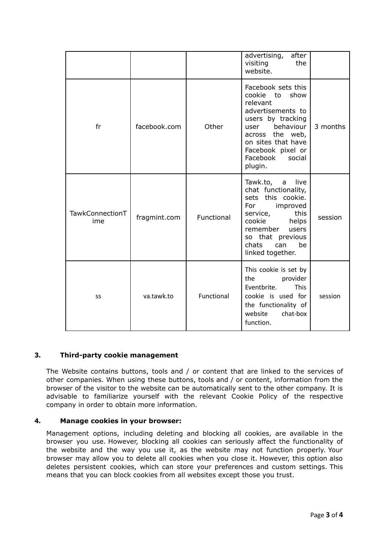|                        |              |            | advertising,<br>after<br>visiting<br>the<br>website.                                                                                                                                                                 |          |
|------------------------|--------------|------------|----------------------------------------------------------------------------------------------------------------------------------------------------------------------------------------------------------------------|----------|
| fr                     | facebook.com | Other      | Facebook sets this<br>cookie<br>show<br>to<br>relevant<br>advertisements to<br>users by tracking<br>behaviour<br>user<br>across the web,<br>on sites that have<br>Facebook pixel or<br>Facebook<br>social<br>plugin. | 3 months |
| TawkConnectionT<br>ime | fragmint.com | Functional | Tawk.to,<br>live<br>a<br>chat functionality,<br>sets this cookie.<br>For<br>improved<br>service,<br>this<br>cookie<br>helps<br>remember<br>users<br>so that previous<br>chats<br>be<br>can<br>linked together.       | session  |
| SS                     | va.tawk.to   | Functional | This cookie is set by<br>the<br>provider<br>Eventbrite.<br><b>This</b><br>cookie is used for<br>the functionality of<br>website<br>chat-box<br>function.                                                             | session  |

# **3. Third-party cookie management**

The Website contains buttons, tools and / or content that are linked to the services of other companies. When using these buttons, tools and / or content, information from the browser of the visitor to the website can be automatically sent to the other company. It is advisable to familiarize yourself with the relevant Cookie Policy of the respective company in order to obtain more information.

## **4. Manage cookies in your browser:**

Management options, including deleting and blocking all cookies, are available in the browser you use. However, blocking all cookies can seriously affect the functionality of the website and the way you use it, as the website may not function properly. Your browser may allow you to delete all cookies when you close it. However, this option also deletes persistent cookies, which can store your preferences and custom settings. This means that you can block cookies from all websites except those you trust.